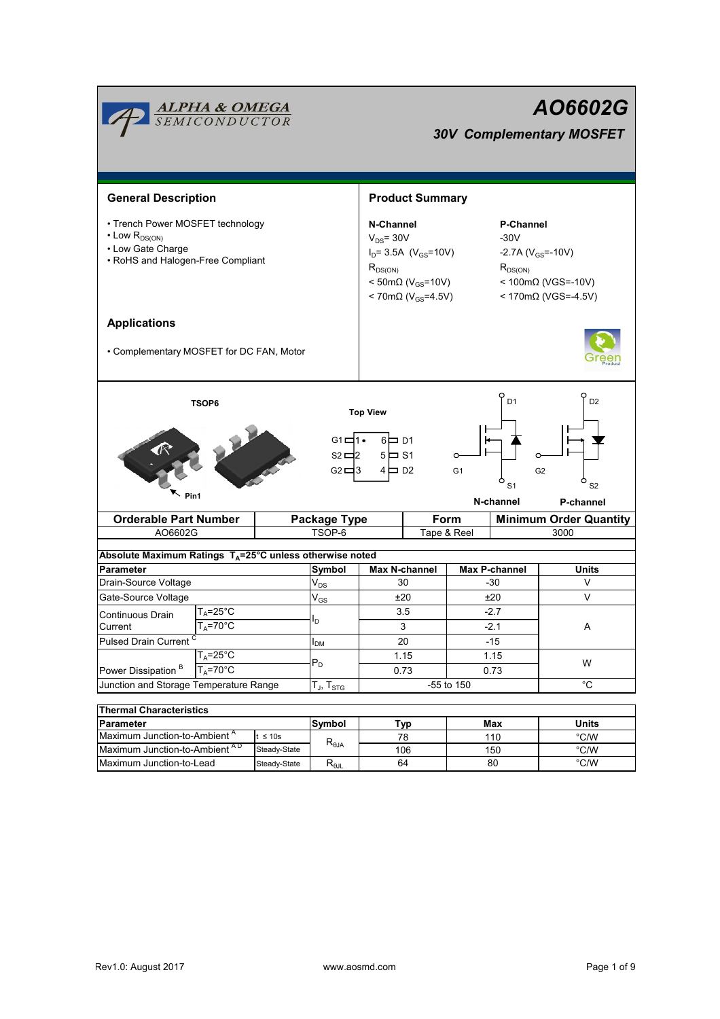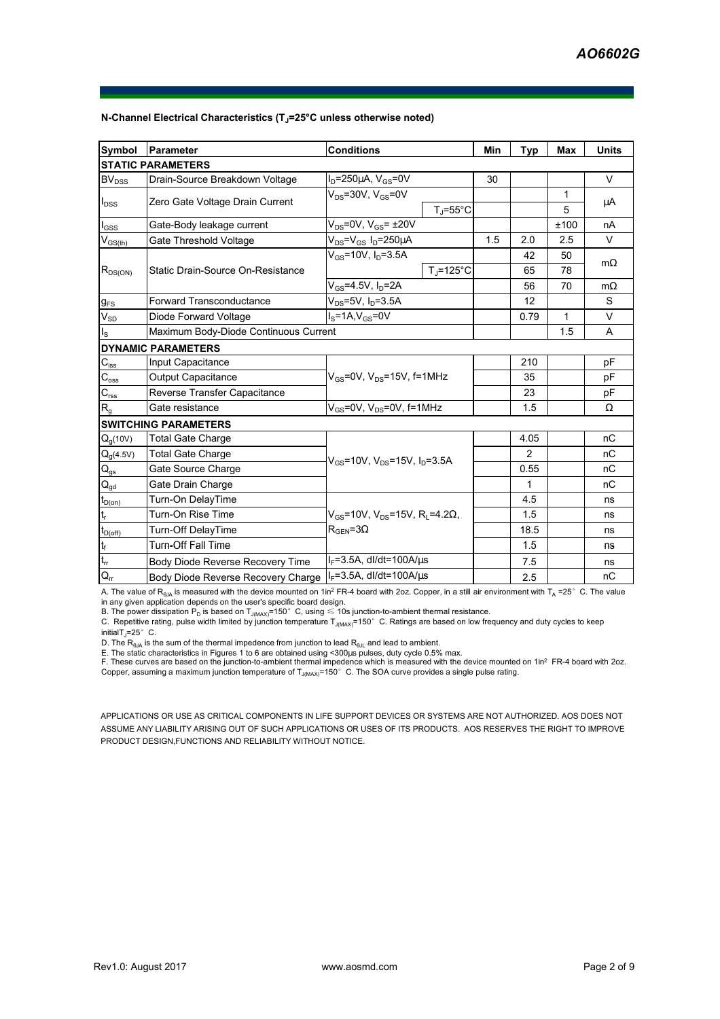| Symbol                      | Parameter                               | <b>Conditions</b>                                                                                        |                                           | Min | <b>Typ</b>     | <b>Max</b> | <b>Units</b> |
|-----------------------------|-----------------------------------------|----------------------------------------------------------------------------------------------------------|-------------------------------------------|-----|----------------|------------|--------------|
|                             | <b>STATIC PARAMETERS</b>                |                                                                                                          |                                           |     |                |            |              |
| BV <sub>DSS</sub>           | Drain-Source Breakdown Voltage          | $I_D = 250 \mu A$ , $V_{GS} = 0V$                                                                        |                                           | 30  |                |            | V            |
| $I_{DSS}$                   | Zero Gate Voltage Drain Current         | $V_{DS}$ =30V, V <sub>GS</sub> =0V                                                                       |                                           |     |                | 1          |              |
|                             |                                         |                                                                                                          | $T_i = 55^{\circ}C$                       |     |                | 5          | μA           |
| $I_{GSS}$                   | Gate-Body leakage current               | $V_{DS}$ =0V, $V_{GS}$ = $\pm$ 20V                                                                       |                                           |     |                | ±100       | nA           |
| $V_{GS(th)}$                | Gate Threshold Voltage                  | $V_{DS} = V_{GS} I_D = 250 \mu A$                                                                        |                                           | 1.5 | 2.0            | 2.5        | $\vee$       |
| $R_{DS(ON)}$                | Static Drain-Source On-Resistance       | $V_{GS}$ =10V, $I_{D}$ =3.5A                                                                             |                                           |     | 42             | 50         | $m\Omega$    |
|                             |                                         |                                                                                                          | $T_i = 125^{\circ}C$                      |     | 65             | 78         |              |
|                             |                                         | $V_{GS} = 4.5V, I_D = 2A$                                                                                |                                           |     | 56             | 70         | $m\Omega$    |
| $g_{FS}$                    | <b>Forward Transconductance</b>         | $V_{DS} = 5V$ , $I_D = 3.5A$                                                                             |                                           |     | 12             |            | S            |
| $V_{SD}$                    | Diode Forward Voltage                   | $IS=1A, VGS=0V$                                                                                          |                                           |     | 0.79           | 1          | V            |
| $I_{\rm S}$                 | Maximum Body-Diode Continuous Current   |                                                                                                          |                                           |     |                | 1.5        | A            |
|                             | <b>DYNAMIC PARAMETERS</b>               |                                                                                                          |                                           |     |                |            |              |
| $C_{\text{iss}}$            | Input Capacitance                       | $V_{GS}$ =0V, $V_{DS}$ =15V, f=1MHz                                                                      |                                           |     | 210            |            | pF           |
| $C_{\rm oss}$               | Output Capacitance                      |                                                                                                          |                                           |     | 35             |            | рF           |
| $C_{\rm rss}$               | Reverse Transfer Capacitance            |                                                                                                          |                                           |     | 23             |            | рF           |
| R <sub>g</sub>              | Gate resistance                         | $V_{GS}$ =0V, $V_{DS}$ =0V, f=1MHz                                                                       |                                           |     | 1.5            |            | Ω            |
|                             | <b>SWITCHING PARAMETERS</b>             |                                                                                                          |                                           |     |                |            |              |
| $Q_q(10V)$                  | <b>Total Gate Charge</b>                |                                                                                                          |                                           |     | 4.05           |            | nC           |
| $Q_g(4.5V)$                 | <b>Total Gate Charge</b>                |                                                                                                          | $V_{GS}$ =10V, $V_{DS}$ =15V, $I_D$ =3.5A |     | $\overline{2}$ |            | nC           |
| $Q_{gs}$                    | Gate Source Charge                      |                                                                                                          |                                           |     | 0.55           |            | пC           |
| $Q_{gd}$                    | Gate Drain Charge                       |                                                                                                          |                                           |     | 1              |            | nC           |
| $t_{D(0n)}$                 | Turn-On DelayTime                       |                                                                                                          |                                           |     | 4.5            |            | ns           |
| t,                          | Turn-On Rise Time                       | $V_{\text{gs}}$ =10V, V <sub>DS</sub> =15V, R <sub>i</sub> =4.2 $\Omega$ ,<br>$R_{\text{GEN}} = 3\Omega$ |                                           |     | 1.5            |            | ns           |
| $t_{D(off)}$                | Turn-Off DelayTime                      |                                                                                                          |                                           |     | 18.5           |            | ns           |
| $\mathfrak{t}_{\mathsf{f}}$ | <b>Turn-Off Fall Time</b>               |                                                                                                          |                                           |     | 1.5            |            | ns           |
| $t_{rr}$                    | <b>Body Diode Reverse Recovery Time</b> | $I_F = 3.5A$ , dl/dt=100A/ $\mu$ s                                                                       |                                           |     | 7.5            |            | ns           |
| $Q_{rr}$                    | Body Diode Reverse Recovery Charge      | $I_F = 3.5A$ , dl/dt=100A/ $\mu$ s                                                                       |                                           |     | 2.5            |            | nC           |

#### **N-Channel Electrical Characteristics (TJ=25°C unless otherwise noted)**

A. The value of R<sub>eJA</sub> is measured with the device mounted on 1in<sup>2</sup> FR-4 board with 2oz. Copper, in a still air environment with T<sub>A</sub> =25°C. The value<br>in any given application depends on the user's specific board design.

B. The power dissipation  ${\sf P_D}$  is based on  ${\sf T_{J(MAX)}}$ =150 $^\circ\,$  C, using  $\leqslant$  10s junction-to-ambient thermal resistance.

C. Repetitive rating, pulse width limited by junction temperature  $T_\text{J(MAX)}$ =150°C. Ratings are based on low frequency and duty cycles to keep initialT $_1$ =25° C.

D. The R<sub>sJA</sub> is the sum of the thermal impedence from junction to lead R<sub>sJL</sub> and lead to ambient.<br>E. The static characteristics in Figures 1 to 6 are obtained using <300µs pulses, duty cycle 0.5% max.<br>F. These curves are Copper, assuming a maximum junction temperature of  $T_{J(MAX)}$ =150°C. The SOA curve provides a single pulse rating.

APPLICATIONS OR USE AS CRITICAL COMPONENTS IN LIFE SUPPORT DEVICES OR SYSTEMS ARE NOT AUTHORIZED. AOS DOES NOT ASSUME ANY LIABILITY ARISING OUT OF SUCH APPLICATIONS OR USES OF ITS PRODUCTS. AOS RESERVES THE RIGHT TO IMPROVE PRODUCT DESIGN,FUNCTIONS AND RELIABILITY WITHOUT NOTICE.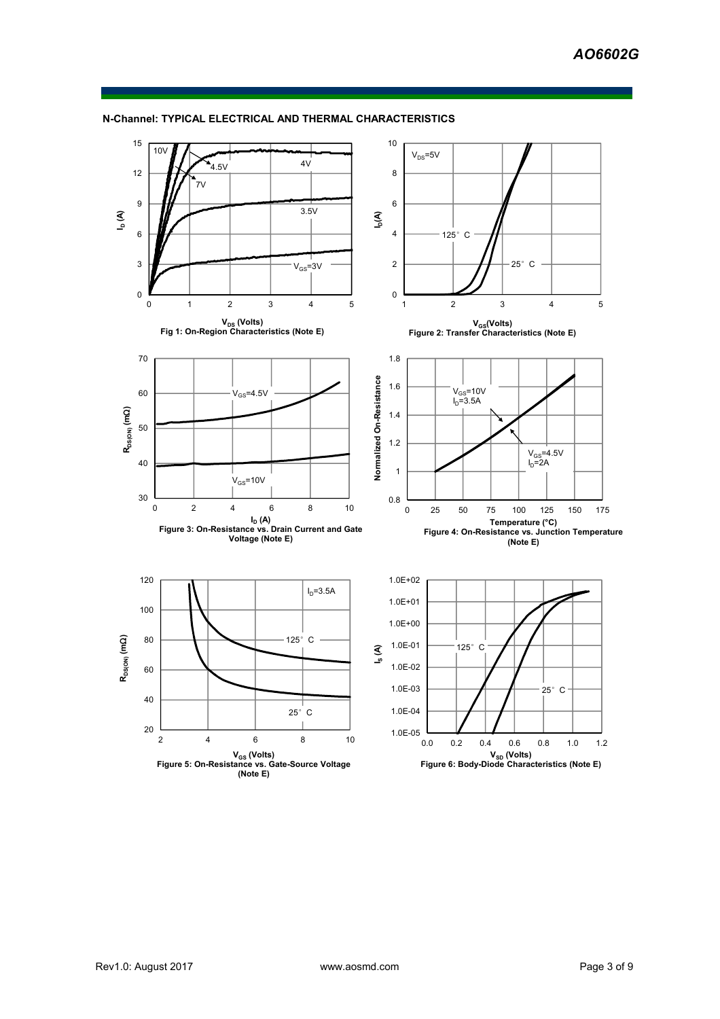

### **N-Channel: TYPICAL ELECTRICAL AND THERMAL CHARACTERISTICS**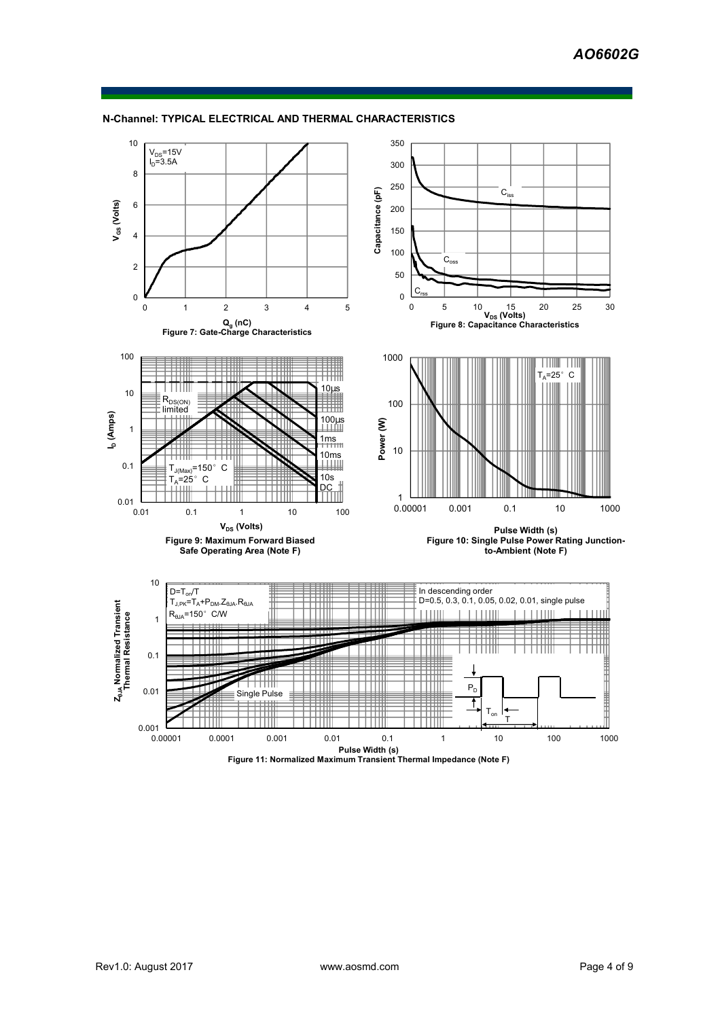

**N-Channel: TYPICAL ELECTRICAL AND THERMAL CHARACTERISTICS**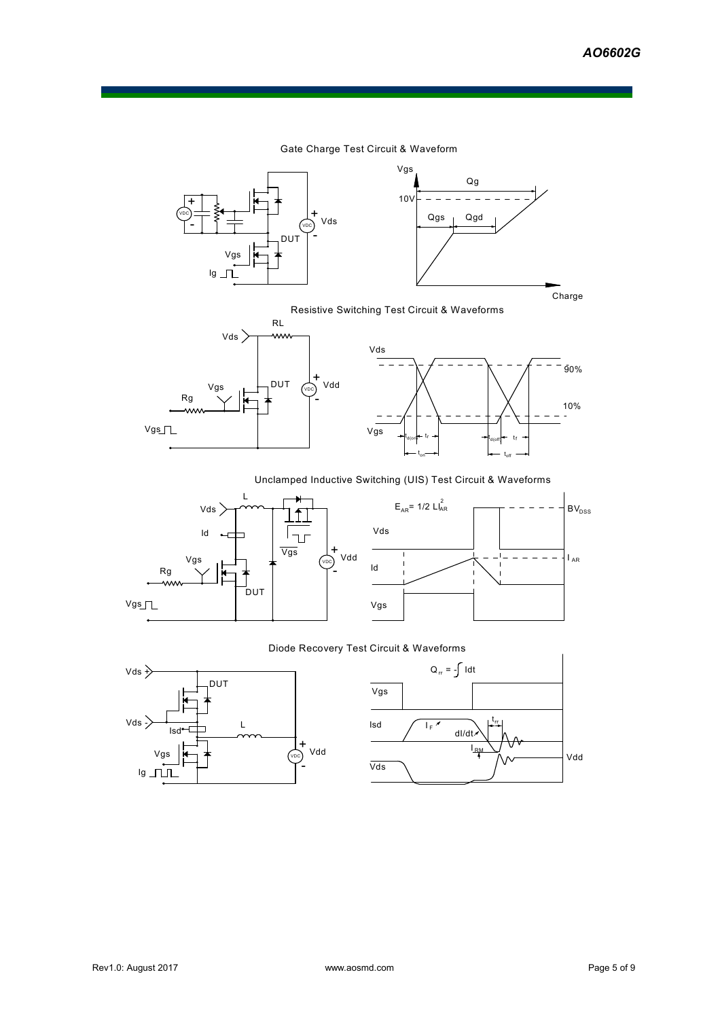10%

90%

÷

# Gate Charge Test Circuit & Waveform





# Resistive Switching Test Circuit & Waveforms



### Unclamped Inductive Switching (UIS) Test Circuit & Waveforms





# Diode Recovery Test Circuit & Waveforms



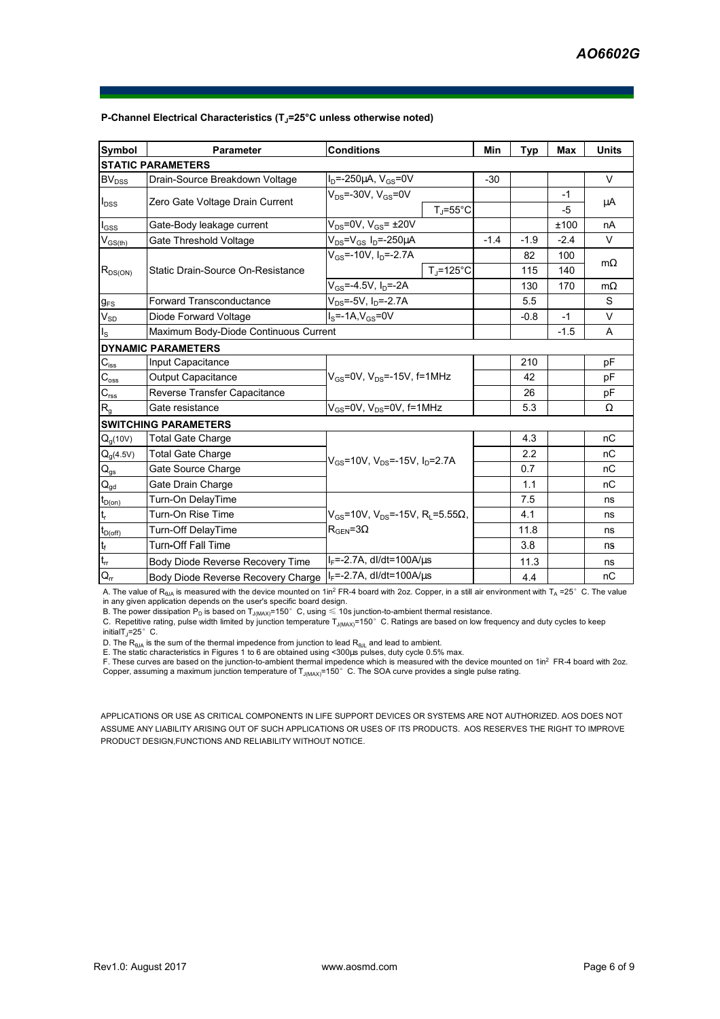| <b>Symbol</b>               | Parameter                             | <b>Conditions</b>                                                   | Min    | <b>Typ</b> | <b>Max</b> | <b>Units</b> |
|-----------------------------|---------------------------------------|---------------------------------------------------------------------|--------|------------|------------|--------------|
|                             | <b>STATIC PARAMETERS</b>              |                                                                     |        |            |            |              |
| $BV_{DSS}$                  | Drain-Source Breakdown Voltage        | $I_D = -250 \mu A$ , $V_{GS} = 0V$                                  | $-30$  |            |            | $\vee$       |
| $I_{DSS}$                   | Zero Gate Voltage Drain Current       | $V_{DS}$ =-30V, $V_{GS}$ =0V<br>$T_{\rm J}$ =55°C                   |        |            | $-1$       | μA           |
|                             |                                       |                                                                     |        |            | -5         |              |
| $I_{\rm GSS}$               | Gate-Body leakage current             | $V_{DS}$ =0V, $V_{GS}$ = $\pm$ 20V                                  |        |            | ±100       | nA           |
| $V_{GS(th)}$                | Gate Threshold Voltage                | $V_{DS} = V_{GS} I_D = -250 \mu A$                                  | $-1.4$ | $-1.9$     | $-2.4$     | $\vee$       |
| $R_{DS(ON)}$                | Static Drain-Source On-Resistance     | $V_{GS}$ =-10V, $I_{D}$ =-2.7A                                      |        | 82         | 100        |              |
|                             |                                       | $T_i = 125$ °C                                                      |        | 115        | 140        | $m\Omega$    |
|                             |                                       | $V_{GS} = -4.5V$ , $I_D = -2A$                                      |        | 130        | 170        | $m\Omega$    |
| $g_{FS}$                    | <b>Forward Transconductance</b>       | $V_{DS} = -5V$ , $I_D = -2.7A$                                      |        | 5.5        |            | S            |
| $V_{SD}$                    | Diode Forward Voltage                 | $I_s = -1A$ , $V_{gs} = 0V$                                         |        | $-0.8$     | $-1$       | V            |
| $I_{\rm S}$                 | Maximum Body-Diode Continuous Current |                                                                     |        |            | $-1.5$     | A            |
|                             | <b>DYNAMIC PARAMETERS</b>             |                                                                     |        |            |            |              |
| $C_{\text{iss}}$            | Input Capacitance                     |                                                                     |        | 210        |            | pF           |
| $\mathsf{C}_{\mathrm{oss}}$ | Output Capacitance                    | $V_{GS}$ =0V, $V_{DS}$ =-15V, f=1MHz                                |        | 42         |            | pF           |
| $C_{\rm rss}$               | Reverse Transfer Capacitance          |                                                                     |        | 26         |            | pF           |
| R <sub>g</sub>              | Gate resistance                       | $V_{GS}$ =0V, $V_{DS}$ =0V, f=1MHz                                  |        | 5.3        |            | $\Omega$     |
|                             | <b>SWITCHING PARAMETERS</b>           |                                                                     |        |            |            |              |
| $Q_g(10V)$                  | <b>Total Gate Charge</b>              |                                                                     |        | 4.3        |            | nC           |
| $Q_g(4.5V)$                 | <b>Total Gate Charge</b>              | $V_{GS}$ =10V, $V_{DS}$ =-15V, $I_D$ =2.7A                          |        | 2.2        |            | nC           |
| $Q_{gs}$                    | Gate Source Charge                    |                                                                     |        | 0.7        |            | nС           |
| $Q_{gd}$                    | Gate Drain Charge                     |                                                                     |        | 1.1        |            | nC           |
| $t_{D(0n)}$                 | Turn-On DelayTime                     |                                                                     |        | 7.5        |            | ns           |
|                             | Turn-On Rise Time                     | $V_{\text{gs}}$ =10V, V <sub>DS</sub> =-15V, R <sub>i</sub> =5.55Ω, |        | 4.1        |            | ns           |
| $t_{D(Off)}$                | Turn-Off DelayTime                    | $R_{\text{GEN}} = 3\Omega$                                          |        | 11.8       |            | ns           |
| $\mathfrak{t}_{\mathsf{f}}$ | <b>Turn-Off Fall Time</b>             |                                                                     |        | 3.8        |            | ns           |
| $\mathfrak{t}_{\text{rr}}$  | Body Diode Reverse Recovery Time      | $I_F = -2.7A$ , dl/dt=100A/ $\mu$ s                                 |        | 11.3       |            | ns           |
| $Q_{rr}$                    | Body Diode Reverse Recovery Charge    | $I_F = -2.7A$ , dl/dt=100A/us                                       |        | 4.4        |            | nC           |

#### **P-Channel Electrical Characteristics (TJ=25°C unless otherwise noted)**

A. The value of R<sub>ata</sub> is measured with the device mounted on 1in<sup>2</sup> FR-4 board with 2oz. Copper, in a still air environment with T<sub>A</sub> =25°C. The value in any given application depends on the user's specific board design.

B. The power dissipation  ${\sf P}_{\sf D}$  is based on  ${\sf T}_{\sf J(MAX)}$ =150°C, using  $\leqslant$  10s junction-to-ambient thermal resistance.

C. Repetitive rating, pulse width limited by junction temperature T<sub>J(MAX)</sub>=150°C. Ratings are based on low frequency and duty cycles to keep  $initialT$ <sub>J</sub>=25° C.

D. The  $R_{\text{BIA}}$  is the sum of the thermal impedence from junction to lead  $R_{\text{BIA}}$  and lead to ambient.

E. The static characteristics in Figures 1 to 6 are obtained using <300µs pulses, duty cycle 0.5% max.

F. These curves are based on the junction-to-ambient thermal impedence which is measured with the device mounted on 1in<sup>2</sup> FR-4 board with 2oz.<br>Copper, assuming a maximum junction temperature of T<sub>JMAX)</sub>=150°C. The SOA cur

APPLICATIONS OR USE AS CRITICAL COMPONENTS IN LIFE SUPPORT DEVICES OR SYSTEMS ARE NOT AUTHORIZED. AOS DOES NOT ASSUME ANY LIABILITY ARISING OUT OF SUCH APPLICATIONS OR USES OF ITS PRODUCTS. AOS RESERVES THE RIGHT TO IMPROVE PRODUCT DESIGN,FUNCTIONS AND RELIABILITY WITHOUT NOTICE.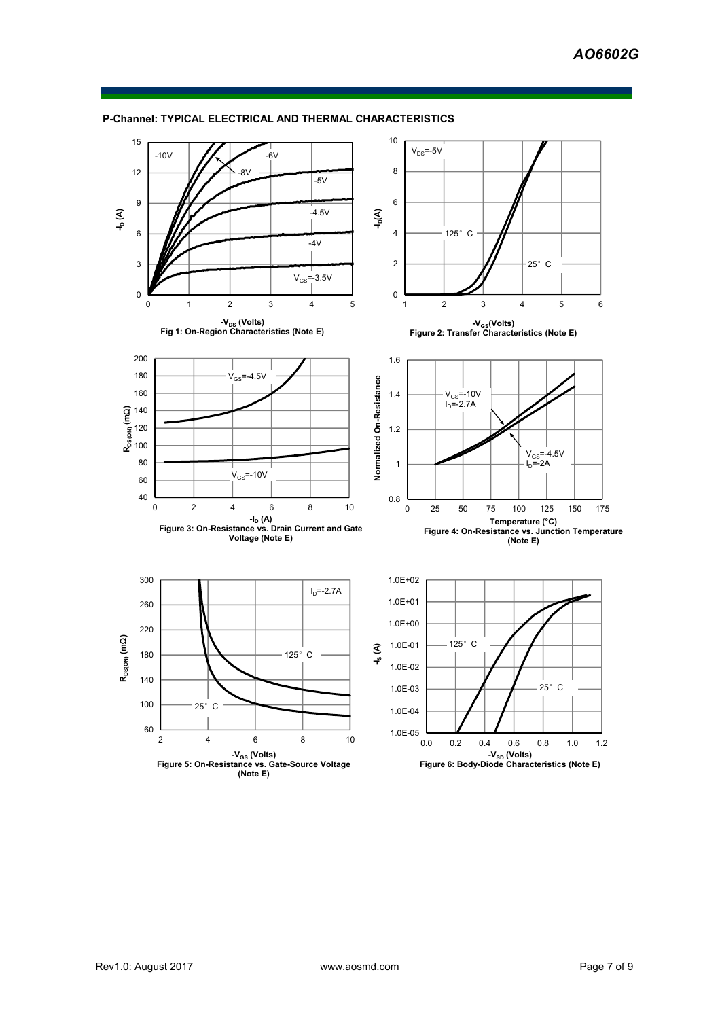

### **P-Channel: TYPICAL ELECTRICAL AND THERMAL CHARACTERISTICS**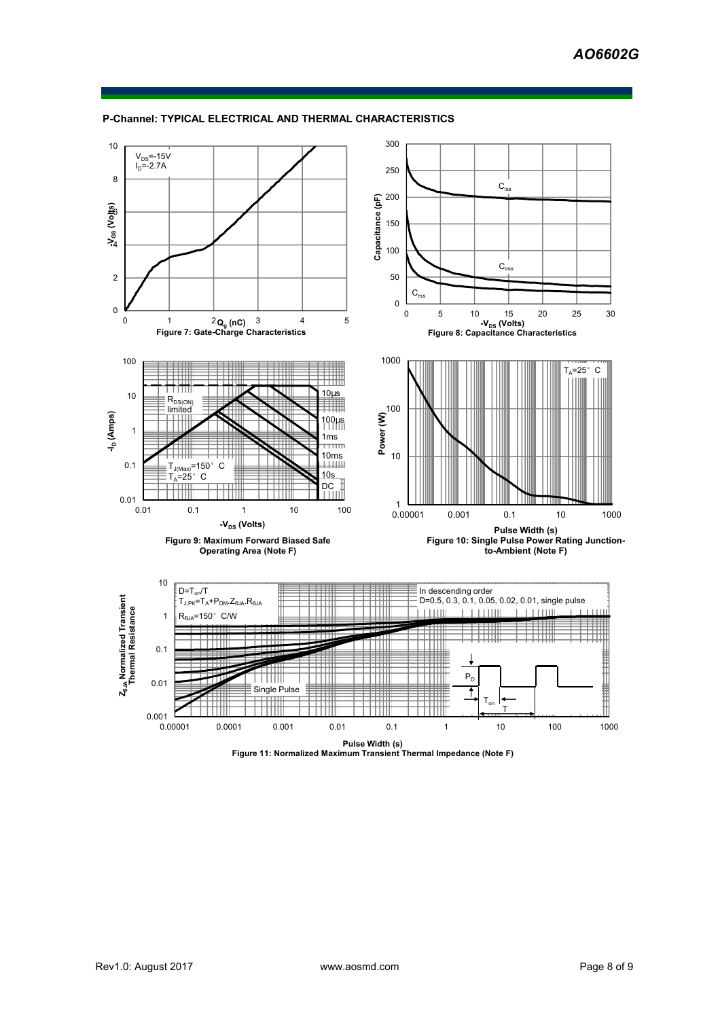

### **P-Channel: TYPICAL ELECTRICAL AND THERMAL CHARACTERISTICS**